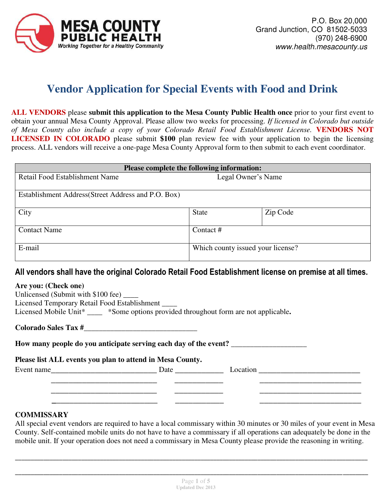

# **Vendor Application for Special Events with Food and Drink**

**ALL VENDORS** please **submit this application to the Mesa County Public Health once** prior to your first event to obtain your annual Mesa County Approval. Please allow two weeks for processing. *If licensed in Colorado but outside of Mesa County also include a copy of your Colorado Retail Food Establishment License.* **VENDORS NOT LICENSED IN COLORADO** please submit **\$100** plan review fee with your application to begin the licensing process. ALL vendors will receive a one-page Mesa County Approval form to then submit to each event coordinator.

| Please complete the following information:          |                                   |          |  |  |  |  |  |  |
|-----------------------------------------------------|-----------------------------------|----------|--|--|--|--|--|--|
| Retail Food Establishment Name                      | Legal Owner's Name                |          |  |  |  |  |  |  |
| Establishment Address (Street Address and P.O. Box) |                                   |          |  |  |  |  |  |  |
| City                                                | <b>State</b>                      | Zip Code |  |  |  |  |  |  |
| <b>Contact Name</b>                                 | Contact #                         |          |  |  |  |  |  |  |
| E-mail                                              | Which county issued your license? |          |  |  |  |  |  |  |

# **All vendors shall have the original Colorado Retail Food Establishment license on premise at all times.**

#### **Are you: (Check one)**

| Unlicensed (Submit with \$100 fee) ____      |                                                            |  |
|----------------------------------------------|------------------------------------------------------------|--|
| Licensed Temporary Retail Food Establishment |                                                            |  |
| Licensed Mobile Unit*                        | *Some options provided throughout form are not applicable. |  |
|                                              |                                                            |  |

**Colorado Sales Tax #**\_\_\_\_\_\_\_\_\_\_\_\_\_\_\_\_\_\_\_\_\_\_\_\_\_\_\_\_\_\_

**How many people do you anticipate serving each day of the event?** \_\_\_\_\_\_\_\_\_\_\_\_\_\_\_\_\_\_\_\_

#### **Please list ALL events you plan to attend in Mesa County.**

Event name Date Date Date Location

 $\overline{\phantom{a}}$  , and the contract of the contract of the contract of the contract of the contract of the contract of the contract of the contract of the contract of the contract of the contract of the contract of the contrac

#### **COMMISSARY**

All special event vendors are required to have a local commissary within 30 minutes or 30 miles of your event in Mesa County. Self-contained mobile units do not have to have a commissary if all operations can adequately be done in the mobile unit. If your operation does not need a commissary in Mesa County please provide the reasoning in writing.

**\_\_\_\_\_\_\_\_\_\_\_\_\_\_\_\_\_\_\_\_\_\_\_\_\_\_\_\_\_\_\_\_\_\_\_\_\_\_\_\_\_\_\_\_\_\_\_\_\_\_\_\_\_\_\_\_\_\_\_\_\_\_\_\_\_\_\_\_\_\_\_\_\_\_\_\_\_\_\_\_\_\_\_\_\_\_\_\_\_\_\_\_\_\_\_\_\_\_\_\_\_\_\_\_\_\_\_\_\_\_\_\_** 

**\_\_\_\_\_\_\_\_\_\_\_\_\_\_\_\_\_\_\_\_\_\_\_\_\_\_\_\_\_\_\_\_\_\_\_\_\_\_\_\_\_\_\_\_\_\_\_\_\_\_\_\_\_\_\_\_\_\_\_\_\_\_\_\_\_\_\_\_\_\_\_\_\_\_\_\_\_\_\_\_\_\_\_\_\_\_\_\_\_\_\_\_\_\_\_\_\_\_\_\_\_\_\_\_\_\_\_\_\_\_\_\_** 

 **\_**\_\_\_\_\_\_\_\_\_\_\_\_\_\_\_\_\_\_\_\_\_\_\_ \_\_\_\_\_\_\_\_\_\_\_ \_\_\_\_\_\_\_\_\_\_\_\_\_\_\_\_\_\_\_\_\_\_\_

 $\overline{\phantom{a}}$  , and the contract of the contract of the contract of the contract of the contract of the contract of the contract of the contract of the contract of the contract of the contract of the contract of the contrac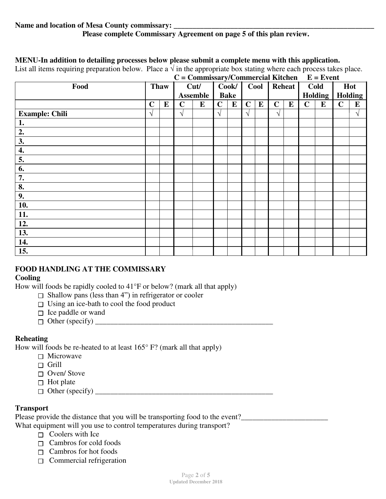#### **MENU-In addition to detailing processes below please submit a complete menu with this application.**

List all items requiring preparation below. Place a  $\sqrt{ }$  in the appropriate box stating where each process takes place.

| $\sim$ 1 $\sim$       |             |             |             | $C = \text{Commissary}/\text{Commercial Kitchen } E = \text{Event}$ |             |                      |             |           |             |               |             |                 |             |                |
|-----------------------|-------------|-------------|-------------|---------------------------------------------------------------------|-------------|----------------------|-------------|-----------|-------------|---------------|-------------|-----------------|-------------|----------------|
| Food                  |             | <b>Thaw</b> |             | Cut/<br><b>Assemble</b>                                             |             | Cook/<br><b>Bake</b> |             | Cool      |             | <b>Reheat</b> |             | Cold<br>Holding |             | Hot<br>Holding |
|                       | $\mathbf C$ | $\bf{E}$    | $\mathbf C$ | ${\bf E}$                                                           | $\mathbf C$ | $\bf{E}$             | $\mathbf C$ | ${\bf E}$ | $\mathbf C$ | $\bf{E}$      | $\mathbf C$ | ${\bf E}$       | $\mathbf C$ | ${\bf E}$      |
| <b>Example: Chili</b> | $\sqrt{ }$  |             | $\sqrt{ }$  |                                                                     | $\sqrt{ }$  |                      | $\sqrt{ }$  |           | V           |               |             |                 |             | $\sqrt{ }$     |
| 1.                    |             |             |             |                                                                     |             |                      |             |           |             |               |             |                 |             |                |
| 2.                    |             |             |             |                                                                     |             |                      |             |           |             |               |             |                 |             |                |
| 3.                    |             |             |             |                                                                     |             |                      |             |           |             |               |             |                 |             |                |
| 4.                    |             |             |             |                                                                     |             |                      |             |           |             |               |             |                 |             |                |
| 5.                    |             |             |             |                                                                     |             |                      |             |           |             |               |             |                 |             |                |
| 6.                    |             |             |             |                                                                     |             |                      |             |           |             |               |             |                 |             |                |
| 7.                    |             |             |             |                                                                     |             |                      |             |           |             |               |             |                 |             |                |
| 8.                    |             |             |             |                                                                     |             |                      |             |           |             |               |             |                 |             |                |
| 9.                    |             |             |             |                                                                     |             |                      |             |           |             |               |             |                 |             |                |
| 10.                   |             |             |             |                                                                     |             |                      |             |           |             |               |             |                 |             |                |
| 11.                   |             |             |             |                                                                     |             |                      |             |           |             |               |             |                 |             |                |
| 12.                   |             |             |             |                                                                     |             |                      |             |           |             |               |             |                 |             |                |
| 13.                   |             |             |             |                                                                     |             |                      |             |           |             |               |             |                 |             |                |
| 14.                   |             |             |             |                                                                     |             |                      |             |           |             |               |             |                 |             |                |
| 15.                   |             |             |             |                                                                     |             |                      |             |           |             |               |             |                 |             |                |

# **FOOD HANDLING AT THE COMMISSARY**

# **Cooling**

How will foods be rapidly cooled to 41°F or below? (mark all that apply)

- $\Box$  Shallow pans (less than 4") in refrigerator or cooler
- $\Box$  Using an ice-bath to cool the food product
- $\Box$  Ice paddle or wand
- Other (specify) \_\_\_\_\_\_\_\_\_\_\_\_\_\_\_\_\_\_\_\_\_\_\_\_\_\_\_\_\_\_\_\_\_\_\_\_\_\_\_\_\_\_\_\_\_\_\_

# **Reheating**

How will foods be re-heated to at least  $165^{\circ}$  F? (mark all that apply)

- □ Microwave
- $\Box$  Grill
- $\Box$  Oven/ Stove
- $\Box$  Hot plate
- Other (specify) \_\_\_\_\_\_\_\_\_\_\_\_\_\_\_\_\_\_\_\_\_\_\_\_\_\_\_\_\_\_\_\_\_\_\_\_\_\_\_\_\_\_\_\_\_\_\_

#### **Transport**

Please provide the distance that you will be transporting food to the event?

What equipment will you use to control temperatures during transport?

- $\Box$  Coolers with Ice
- $\Box$  Cambros for cold foods
- $\Box$  Cambros for hot foods
- $\Box$  Commercial refrigeration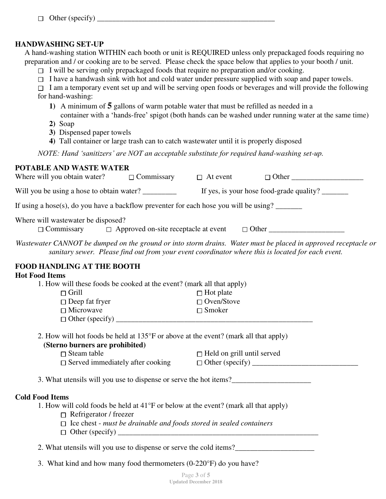$\Box$  Other (specify)  $\Box$ 

#### **HANDWASHING SET-UP**

 A hand-washing station WITHIN each booth or unit is REQUIRED unless only prepackaged foods requiring no preparation and / or cooking are to be served. Please check the space below that applies to your booth / unit.

- $\Box$  I will be serving only prepackaged foods that require no preparation and/or cooking.
- $\Box$  I have a handwash sink with hot and cold water under pressure supplied with soap and paper towels.

 $\Box$  I am a temporary event set up and will be serving open foods or beverages and will provide the following

- for hand-washing:
	- **1)** A minimum of **5** gallons of warm potable water that must be refilled as needed in a
		- container with a 'hands-free' spigot (both hands can be washed under running water at the same time)
	- **2)** Soap
	- **3)** Dispensed paper towels
	- **4)** Tall container or large trash can to catch wastewater until it is properly disposed

*NOTE: Hand 'sanitizers' are NOT an acceptable substitute for required hand-washing set-up.* 

#### **POTABLE AND WASTE WATER**

| Where will you obtain water? $\Box$ Commissary $\Box$ At event                                                                 |                                            |                                                                                                                                                                                                                     |
|--------------------------------------------------------------------------------------------------------------------------------|--------------------------------------------|---------------------------------------------------------------------------------------------------------------------------------------------------------------------------------------------------------------------|
|                                                                                                                                |                                            |                                                                                                                                                                                                                     |
| If using a hose(s), do you have a backflow preventer for each hose you will be using?                                          |                                            |                                                                                                                                                                                                                     |
| Where will wastewater be disposed?<br>$\Box$ Commissary                                                                        |                                            | □ Approved on-site receptacle at event □ Other _________________________________                                                                                                                                    |
|                                                                                                                                |                                            | Wastewater CANNOT be dumped on the ground or into storm drains. Water must be placed in approved receptacle or<br>sanitary sewer. Please find out from your event coordinator where this is located for each event. |
| <b>FOOD HANDLING AT THE BOOTH</b>                                                                                              |                                            |                                                                                                                                                                                                                     |
| <b>Hot Food Items</b>                                                                                                          |                                            |                                                                                                                                                                                                                     |
| 1. How will these foods be cooked at the event? (mark all that apply)                                                          |                                            |                                                                                                                                                                                                                     |
| $\Box$ Grill                                                                                                                   | $\Box$ Hot plate                           |                                                                                                                                                                                                                     |
| $\Box$ Deep fat fryer                                                                                                          | $\Box$ Oven/Stove                          |                                                                                                                                                                                                                     |
| $\Box$ Microwave                                                                                                               | $\Box$ Smoker                              |                                                                                                                                                                                                                     |
|                                                                                                                                |                                            |                                                                                                                                                                                                                     |
| 2. How will hot foods be held at 135°F or above at the event? (mark all that apply)                                            |                                            |                                                                                                                                                                                                                     |
| (Sterno burners are prohibited)                                                                                                |                                            |                                                                                                                                                                                                                     |
| $\Box$ Steam table                                                                                                             | $\hfill\Box$<br>Held on grill until served |                                                                                                                                                                                                                     |
| $\Box$ Served immediately after cooking                                                                                        |                                            |                                                                                                                                                                                                                     |
| 3. What utensils will you use to dispense or serve the hot items?                                                              |                                            |                                                                                                                                                                                                                     |
| <b>Cold Food Items</b>                                                                                                         |                                            |                                                                                                                                                                                                                     |
| 1. How will cold foods be held at $41^{\circ}$ F or below at the event? (mark all that apply)<br>$\Box$ Refrigerator / freezer |                                            |                                                                                                                                                                                                                     |
| $\Box$ Ice chest - must be drainable and foods stored in sealed containers                                                     |                                            |                                                                                                                                                                                                                     |
|                                                                                                                                |                                            |                                                                                                                                                                                                                     |

3. What kind and how many food thermometers (0-220°F) do you have?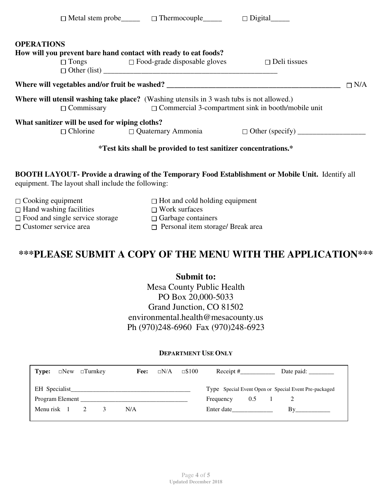| <b>OPERATIONS</b> |                                                | How will you prevent bare hand contact with ready to eat foods?<br>$\square$ Tongs $\square$ Food-grade disposable gloves $\square$ Deli tissues             |                                                                  |            |
|-------------------|------------------------------------------------|--------------------------------------------------------------------------------------------------------------------------------------------------------------|------------------------------------------------------------------|------------|
|                   |                                                | Where will vegetables and/or fruit be washed? __________________________________                                                                             |                                                                  | $\Box$ N/A |
|                   |                                                | <b>Where will utensil washing take place?</b> (Washing utensils in 3 wash tubs is not allowed.)<br>$\Box$ Commercial 3-compartment sink in booth/mobile unit |                                                                  |            |
|                   | What sanitizer will be used for wiping cloths? |                                                                                                                                                              | $\Box$ Chlorine $\Box$ Quaternary Ammonia $\Box$ Other (specify) |            |
|                   |                                                | *Test kits shall be provided to test sanitizer concentrations.*                                                                                              |                                                                  |            |

### **BOOTH LAYOUT- Provide a drawing of the Temporary Food Establishment or Mobile Unit.** Identify all equipment. The layout shall include the following:

| $\Box$ Cooking equipment<br>$\Box$ Hand washing facilities | $\Box$ Hot and cold holding equipment<br>$\Box$ Work surfaces |
|------------------------------------------------------------|---------------------------------------------------------------|
| $\Box$ Food and single service storage                     | $\Box$ Garbage containers                                     |
| $\Box$ Customer service area                               | $\Box$ Personal item storage/ Break area                      |

# **\*\*\*PLEASE SUBMIT A COPY OF THE MENU WITH THE APPLICATION\*\*\***

# **Submit to:**

Mesa County Public Health PO Box 20,000-5033 Grand Junction, CO 81502 environmental.health@mesacounty.us Ph (970)248-6960 Fax (970)248-6923

#### **DEPARTMENT USE ONLY**

| Type:              | $\Box$ New $\Box$ Turnkey | Fee: | $\neg N/A$ | $\square$ \$100 | Receipt $#$ |     | Date paid:                                            |
|--------------------|---------------------------|------|------------|-----------------|-------------|-----|-------------------------------------------------------|
| EH Specialist      |                           |      |            |                 |             |     | Type Special Event Open or Special Event Pre-packaged |
| Program Element    |                           |      |            |                 | Frequency   | 0.5 |                                                       |
| Menu risk $1 \t 2$ |                           | N/A  |            |                 | Enter date  |     |                                                       |